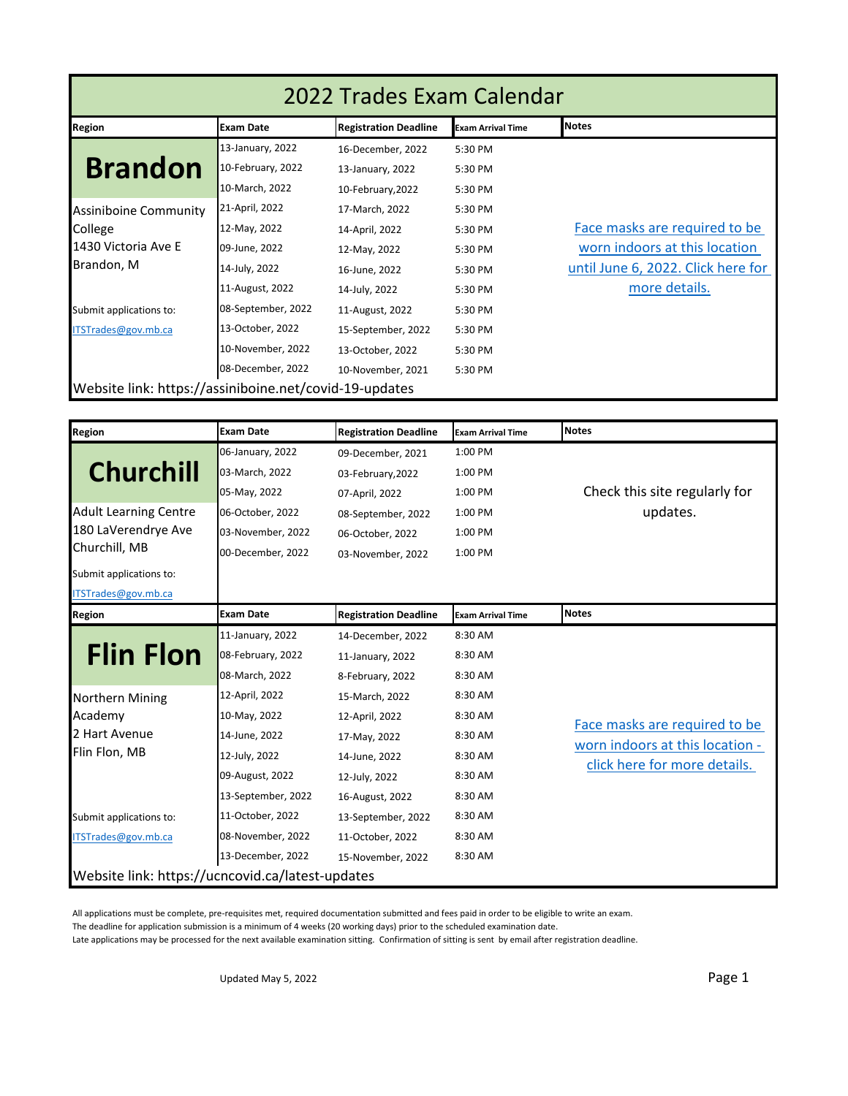| 2022 Trades Exam Calendar                              |                    |                              |                          |                                    |  |
|--------------------------------------------------------|--------------------|------------------------------|--------------------------|------------------------------------|--|
| <b>Region</b>                                          | <b>Exam Date</b>   | <b>Registration Deadline</b> | <b>Exam Arrival Time</b> | <b>Notes</b>                       |  |
|                                                        | 13-January, 2022   | 16-December, 2022            | 5:30 PM                  |                                    |  |
| <b>Brandon</b>                                         | 10-February, 2022  | 13-January, 2022             | 5:30 PM                  |                                    |  |
|                                                        | 10-March, 2022     | 10-February, 2022            | 5:30 PM                  |                                    |  |
| <b>Assiniboine Community</b>                           | 21-April, 2022     | 17-March, 2022               | 5:30 PM                  |                                    |  |
| College                                                | 12-May, 2022       | 14-April, 2022               | 5:30 PM                  | Face masks are required to be      |  |
| 1430 Victoria Ave E                                    | 09-June, 2022      | 12-May, 2022                 | 5:30 PM                  | worn indoors at this location      |  |
| Brandon, M                                             | 14-July, 2022      | 16-June, 2022                | 5:30 PM                  | until June 6, 2022. Click here for |  |
|                                                        | 11-August, 2022    | 14-July, 2022                | 5:30 PM                  | more details.                      |  |
| Submit applications to:                                | 08-September, 2022 | 11-August, 2022              | 5:30 PM                  |                                    |  |
| ITSTrades@gov.mb.ca                                    | 13-October, 2022   | 15-September, 2022           | 5:30 PM                  |                                    |  |
|                                                        | 10-November, 2022  | 13-October, 2022             | 5:30 PM                  |                                    |  |
|                                                        | 08-December, 2022  | 10-November, 2021            | 5:30 PM                  |                                    |  |
| Website link: https://assiniboine.net/covid-19-updates |                    |                              |                          |                                    |  |
|                                                        |                    |                              |                          |                                    |  |
| <b>Region</b>                                          | <b>Exam Date</b>   | <b>Registration Deadline</b> | <b>Exam Arrival Time</b> | <b>Notes</b>                       |  |
|                                                        | 06-January, 2022   | 09-December, 2021            | 1:00 PM                  |                                    |  |
| <b>Churchill</b>                                       | 03-March, 2022     | 03-February, 2022            | 1:00 PM                  |                                    |  |
|                                                        | 05-May, 2022       | 07-April, 2022               | 1:00 PM                  | Check this site regularly for      |  |
| <b>Adult Learning Centre</b>                           | 06-October, 2022   | 08-September, 2022           | 1:00 PM                  | updates.                           |  |
| 180 LaVerendrye Ave                                    | 03-November, 2022  | 06-October, 2022             | 1:00 PM                  |                                    |  |
| Churchill, MB                                          | 00-December, 2022  | 03-November, 2022            | 1:00 PM                  |                                    |  |
| Submit applications to:                                |                    |                              |                          |                                    |  |
| ITSTrades@gov.mb.ca                                    |                    |                              |                          |                                    |  |
| <b>Region</b>                                          | <b>Exam Date</b>   | <b>Registration Deadline</b> | <b>Exam Arrival Time</b> | <b>Notes</b>                       |  |
|                                                        | 11-January, 2022   | 14-December, 2022            | 8:30 AM                  |                                    |  |
|                                                        | 2022               |                              | 0.20.88                  |                                    |  |

| INEKIUII                                         | LAGIII DALE        | INEXISLI dLIVII DE QUIIIIE | IEXam Afrivai Time |                                 |
|--------------------------------------------------|--------------------|----------------------------|--------------------|---------------------------------|
|                                                  | 11-January, 2022   | 14-December, 2022          | 8:30 AM            |                                 |
| <b>Flin Flon</b>                                 | 08-February, 2022  | 11-January, 2022           | 8:30 AM            |                                 |
|                                                  | 08-March, 2022     | 8-February, 2022           | 8:30 AM            |                                 |
| <b>Northern Mining</b>                           | 12-April, 2022     | 15-March, 2022             | 8:30 AM            |                                 |
| Academy                                          | 10-May, 2022       | 12-April, 2022             | 8:30 AM            | Face masks are required to be   |
| 2 Hart Avenue                                    | 14-June, 2022      | 17-May, 2022               | 8:30 AM            | worn indoors at this location - |
| Flin Flon, MB                                    | 12-July, 2022      | 14-June, 2022              | 8:30 AM            | click here for more details.    |
|                                                  | 09-August, 2022    | 12-July, 2022              | 8:30 AM            |                                 |
|                                                  | 13-September, 2022 | 16-August, 2022            | 8:30 AM            |                                 |
| Submit applications to:                          | 11-October, 2022   | 13-September, 2022         | 8:30 AM            |                                 |
| ITSTrades@gov.mb.ca                              | 08-November, 2022  | 11-October, 2022           | 8:30 AM            |                                 |
|                                                  | 13-December, 2022  | 15-November, 2022          | 8:30 AM            |                                 |
| Website link: https://ucncovid.ca/latest-updates |                    |                            |                    |                                 |

All applications must be complete, pre-requisites met, required documentation submitted and fees paid in order to be eligible to write an exam.

The deadline for application submission is a minimum of 4 weeks (20 working days) prior to the scheduled examination date.

Late applications may be processed for the next available examination sitting. Confirmation of sitting is sent by email after registration deadline.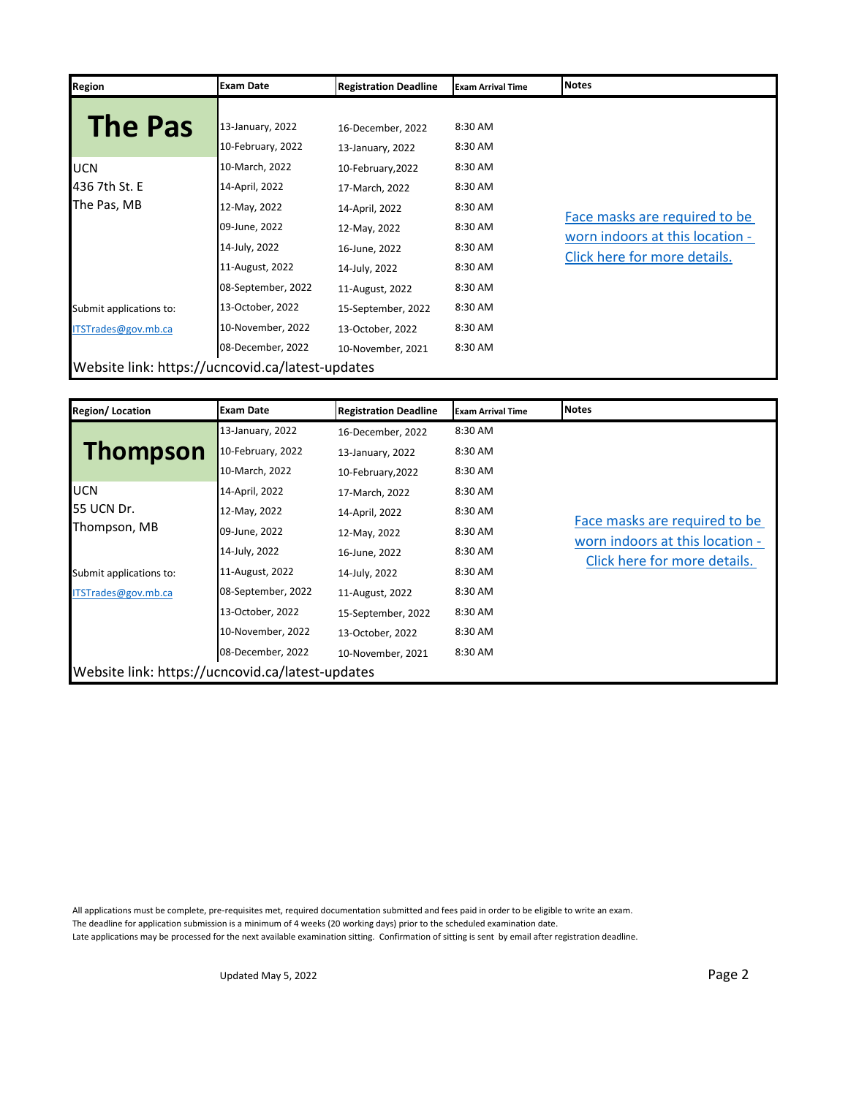| Region                                           | <b>Exam Date</b>   | <b>Registration Deadline</b> | <b>Exam Arrival Time</b> | <b>Notes</b>                    |
|--------------------------------------------------|--------------------|------------------------------|--------------------------|---------------------------------|
|                                                  |                    |                              |                          |                                 |
| <b>The Pas</b>                                   | 13-January, 2022   | 16-December, 2022            | 8:30 AM                  |                                 |
|                                                  | 10-February, 2022  | 13-January, 2022             | 8:30 AM                  |                                 |
| <b>UCN</b>                                       | 10-March, 2022     | 10-February, 2022            | 8:30 AM                  |                                 |
| 436 7th St. E                                    | 14-April, 2022     | 17-March, 2022               | 8:30 AM                  |                                 |
| The Pas, MB                                      | 12-May, 2022       | 14-April, 2022               | 8:30 AM                  | Face masks are required to be   |
|                                                  | 09-June, 2022      | 12-May, 2022                 | 8:30 AM                  | worn indoors at this location - |
|                                                  | 14-July, 2022      | 16-June, 2022                | 8:30 AM                  |                                 |
|                                                  | 11-August, 2022    | 14-July, 2022                | 8:30 AM                  | Click here for more details.    |
|                                                  | 08-September, 2022 | 11-August, 2022              | 8:30 AM                  |                                 |
| Submit applications to:                          | 13-October, 2022   | 15-September, 2022           | 8:30 AM                  |                                 |
| ITSTrades@gov.mb.ca                              | 10-November, 2022  | 13-October, 2022             | 8:30 AM                  |                                 |
|                                                  | 08-December, 2022  | 10-November, 2021            | 8:30 AM                  |                                 |
| Website link: https://ucncovid.ca/latest-updates |                    |                              |                          |                                 |

| <b>Region/Location</b>                           | <b>Exam Date</b>   | <b>Registration Deadline</b> | <b>Exam Arrival Time</b> | <b>Notes</b>                                                     |
|--------------------------------------------------|--------------------|------------------------------|--------------------------|------------------------------------------------------------------|
|                                                  | 13-January, 2022   | 16-December, 2022            | 8:30 AM                  |                                                                  |
| <b>Thompson</b>                                  | 10-February, 2022  | 13-January, 2022             | 8:30 AM                  |                                                                  |
|                                                  | 10-March, 2022     | 10-February, 2022            | 8:30 AM                  |                                                                  |
| <b>IUCN</b>                                      | 14-April, 2022     | 17-March, 2022               | 8:30 AM                  |                                                                  |
| 55 UCN Dr.                                       | 12-May, 2022       | 14-April, 2022               | 8:30 AM                  |                                                                  |
| Thompson, MB                                     | 09-June, 2022      | 12-May, 2022                 | 8:30 AM                  | Face masks are required to be<br>worn indoors at this location - |
|                                                  | 14-July, 2022      | 16-June, 2022                | 8:30 AM                  | Click here for more details.                                     |
| Submit applications to:                          | 11-August, 2022    | 14-July, 2022                | 8:30 AM                  |                                                                  |
| ITSTrades@gov.mb.ca                              | 08-September, 2022 | 11-August, 2022              | 8:30 AM                  |                                                                  |
|                                                  | 13-October, 2022   | 15-September, 2022           | 8:30 AM                  |                                                                  |
|                                                  | 10-November, 2022  | 13-October, 2022             | 8:30 AM                  |                                                                  |
|                                                  | 08-December, 2022  | 10-November, 2021            | 8:30 AM                  |                                                                  |
| Website link: https://ucncovid.ca/latest-updates |                    |                              |                          |                                                                  |

All applications must be complete, pre-requisites met, required documentation submitted and fees paid in order to be eligible to write an exam. The deadline for application submission is a minimum of 4 weeks (20 working days) prior to the scheduled examination date. Late applications may be processed for the next available examination sitting. Confirmation of sitting is sent by email after registration deadline.